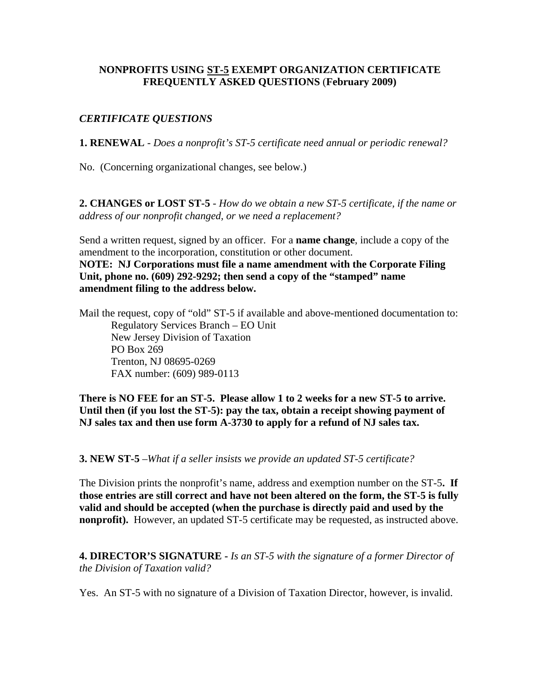## **NONPROFITS USING ST-5 EXEMPT ORGANIZATION CERTIFICATE FREQUENTLY ASKED QUESTIONS** (**February 2009)**

## *CERTIFICATE QUESTIONS*

**1. RENEWAL** - *Does a nonprofit's ST-5 certificate need annual or periodic renewal?*

No. (Concerning organizational changes, see below.)

**2. CHANGES or LOST ST-5** - *How do we obtain a new ST-5 certificate, if the name or address of our nonprofit changed, or we need a replacement?*

Send a written request, signed by an officer. For a **name change**, include a copy of the amendment to the incorporation, constitution or other document. **NOTE: NJ Corporations must file a name amendment with the Corporate Filing Unit, phone no. (609) 292-9292; then send a copy of the "stamped" name amendment filing to the address below.**

Mail the request, copy of "old" ST-5 if available and above-mentioned documentation to: Regulatory Services Branch – EO Unit New Jersey Division of Taxation PO Box 269 Trenton, NJ 08695-0269 FAX number: (609) 989-0113

**There is NO FEE for an ST-5. Please allow 1 to 2 weeks for a new ST-5 to arrive. Until then (if you lost the ST-5): pay the tax, obtain a receipt showing payment of NJ sales tax and then use form A-3730 to apply for a refund of NJ sales tax.** 

**3. NEW ST-5** –*What if a seller insists we provide an updated ST-5 certificate?*

The Division prints the nonprofit's name, address and exemption number on the ST-5**. If those entries are still correct and have not been altered on the form, the ST-5 is fully valid and should be accepted (when the purchase is directly paid and used by the nonprofit).** However, an updated ST-5 certificate may be requested, as instructed above.

**4. DIRECTOR'S SIGNATURE -** *Is an ST-5 with the signature of a former Director of the Division of Taxation valid?*

Yes. An ST-5 with no signature of a Division of Taxation Director, however, is invalid.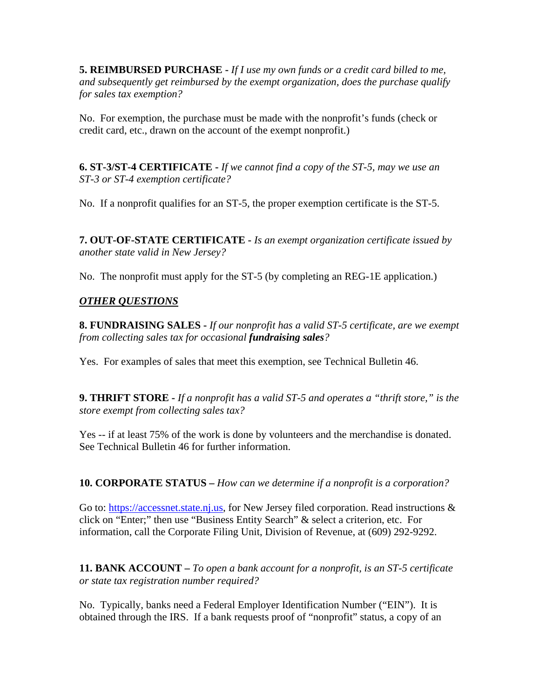**5. REIMBURSED PURCHASE -** *If I use my own funds or a credit card billed to me, and subsequently get reimbursed by the exempt organization, does the purchase qualify for sales tax exemption?*

No. For exemption, the purchase must be made with the nonprofit's funds (check or credit card, etc., drawn on the account of the exempt nonprofit.)

**6. ST-3/ST-4 CERTIFICATE -** *If we cannot find a copy of the ST-5, may we use an ST-3 or ST-4 exemption certificate?*

No. If a nonprofit qualifies for an ST-5, the proper exemption certificate is the ST-5.

**7. OUT-OF-STATE CERTIFICATE -** *Is an exempt organization certificate issued by another state valid in New Jersey?*

No. The nonprofit must apply for the ST-5 [\(by completing an REG-1E application.\)](http://www.state.nj.us/treasury/taxation/pdf/other_forms/sales/reg1e.pdf)

## *OTHER QUESTIONS*

**8. FUNDRAISING SALES -** *If our nonprofit has a valid ST-5 certificate, are we exempt from collecting sales tax for occasional fundraising sales?*

Yes. For examples of sales that meet this exemption, see [Technical Bulletin 46.](http://www.state.nj.us/treasury/taxation/pdf/pubs/tb/tb46.pdf)

**9. THRIFT STORE -** *If a nonprofit has a valid ST-5 and operates a "thrift store," is the store exempt from collecting sales tax?*

Yes -- if at least 75% of the work is done by volunteers and the merchandise is donated. See [Technical Bulletin 46](http://www.state.nj.us/treasury/taxation/pdf/pubs/tb/tb46.pdf) for further information.

**10. CORPORATE STATUS –** *How can we determine if a nonprofit is a corporation?*

Go to[: https://accessnet.state.nj.us, f](www.njportal.com/DOR/businessrecords)or New Jersey filed corporation. Read instructions & click on "Enter;" then use "Business Entity Search" & select a criterion, etc. For information, call the Corporate Filing Unit, Division of Revenue, at (609) 292-9292.

**11. BANK ACCOUNT –** *To open a bank account for a nonprofit, is an ST-5 certificate or state tax registration number required?*

No. Typically, banks need a Federal Employer Identification Number ("EIN"). It is obtained through the IRS. If a bank requests proof of "nonprofit" status, a copy of an